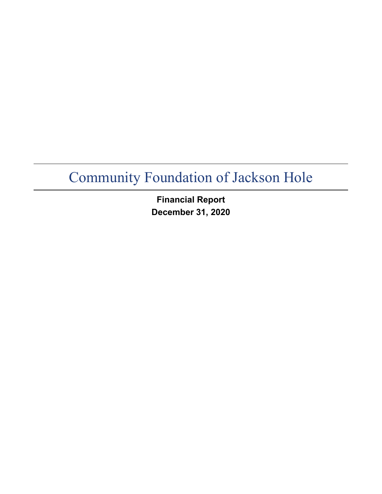**Financial Report December 31, 2020**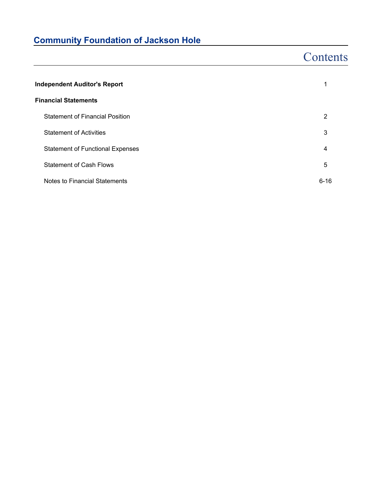# **Contents**

| <b>Independent Auditor's Report</b>     |          |  |
|-----------------------------------------|----------|--|
| <b>Financial Statements</b>             |          |  |
| <b>Statement of Financial Position</b>  | 2        |  |
| <b>Statement of Activities</b>          | 3        |  |
| <b>Statement of Functional Expenses</b> | 4        |  |
| <b>Statement of Cash Flows</b>          | 5        |  |
| Notes to Financial Statements           | $6 - 16$ |  |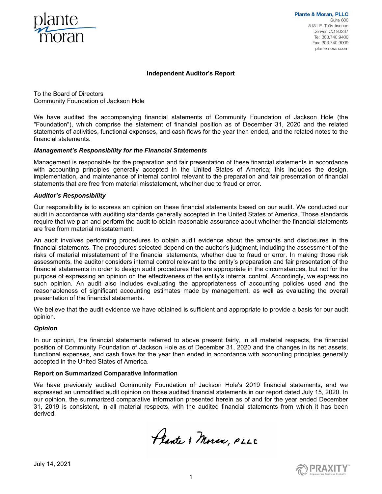

**Plante & Moran, PLLC** Suite 600 8181 E. Tufts Avenue Denver, CO 80237 Tel: 303.740.9400 Fax: 303.740.9009 plantemoran.com

#### **Independent Auditor's Report**

To the Board of Directors Community Foundation of Jackson Hole

We have audited the accompanying financial statements of Community Foundation of Jackson Hole (the "Foundation"), which comprise the statement of financial position as of December 31, 2020 and the related statements of activities, functional expenses, and cash flows for the year then ended, and the related notes to the financial statements.

#### *Management's Responsibility for the Financial Statements*

Management is responsible for the preparation and fair presentation of these financial statements in accordance with accounting principles generally accepted in the United States of America; this includes the design, implementation, and maintenance of internal control relevant to the preparation and fair presentation of financial statements that are free from material misstatement, whether due to fraud or error.

#### *Auditor's Responsibility*

Our responsibility is to express an opinion on these financial statements based on our audit. We conducted our audit in accordance with auditing standards generally accepted in the United States of America. Those standards require that we plan and perform the audit to obtain reasonable assurance about whether the financial statements are free from material misstatement.

An audit involves performing procedures to obtain audit evidence about the amounts and disclosures in the financial statements. The procedures selected depend on the auditor's judgment, including the assessment of the risks of material misstatement of the financial statements, whether due to fraud or error. In making those risk assessments, the auditor considers internal control relevant to the entity's preparation and fair presentation of the financial statements in order to design audit procedures that are appropriate in the circumstances, but not for the purpose of expressing an opinion on the effectiveness of the entity's internal control. Accordingly, we express no such opinion. An audit also includes evaluating the appropriateness of accounting policies used and the reasonableness of significant accounting estimates made by management, as well as evaluating the overall presentation of the financial statements.

We believe that the audit evidence we have obtained is sufficient and appropriate to provide a basis for our audit opinion.

#### *Opinion*

In our opinion, the financial statements referred to above present fairly, in all material respects, the financial position of Community Foundation of Jackson Hole as of December 31, 2020 and the changes in its net assets, functional expenses, and cash flows for the year then ended in accordance with accounting principles generally accepted in the United States of America.

#### **Report on Summarized Comparative Information**

We have previously audited Community Foundation of Jackson Hole's 2019 financial statements, and we expressed an unmodified audit opinion on those audited financial statements in our report dated July 15, 2020. In our opinion, the summarized comparative information presented herein as of and for the year ended December 31, 2019 is consistent, in all material respects, with the audited financial statements from which it has been derived.

Plante & Moran, PLLC



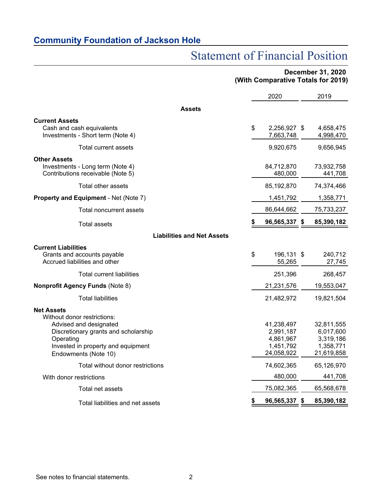# Statement of Financial Position

## **December 31, 2020 (With Comparative Totals for 2019)**

|                                                                                                                                                                                               | 2020                                                            | 2019                                                            |
|-----------------------------------------------------------------------------------------------------------------------------------------------------------------------------------------------|-----------------------------------------------------------------|-----------------------------------------------------------------|
| <b>Assets</b>                                                                                                                                                                                 |                                                                 |                                                                 |
| <b>Current Assets</b><br>Cash and cash equivalents<br>Investments - Short term (Note 4)                                                                                                       | \$<br>2,256,927 \$<br>7,663,748                                 | 4,658,475<br>4,998,470                                          |
| Total current assets                                                                                                                                                                          | 9,920,675                                                       | 9,656,945                                                       |
| <b>Other Assets</b><br>Investments - Long term (Note 4)<br>Contributions receivable (Note 5)                                                                                                  | 84,712,870<br>480,000                                           | 73,932,758<br>441,708                                           |
| Total other assets                                                                                                                                                                            | 85,192,870                                                      | 74,374,466                                                      |
| Property and Equipment - Net (Note 7)                                                                                                                                                         | 1,451,792                                                       | 1,358,771                                                       |
| Total noncurrent assets                                                                                                                                                                       | 86,644,662                                                      | 75,733,237                                                      |
| Total assets                                                                                                                                                                                  | \$<br>96,565,337 \$                                             | 85,390,182                                                      |
| <b>Liabilities and Net Assets</b>                                                                                                                                                             |                                                                 |                                                                 |
| <b>Current Liabilities</b><br>Grants and accounts payable<br>Accrued liabilities and other                                                                                                    | \$<br>196,131 \$<br>55,265                                      | 240,712<br>27,745                                               |
| <b>Total current liabilities</b>                                                                                                                                                              | 251,396                                                         | 268,457                                                         |
| <b>Nonprofit Agency Funds (Note 8)</b>                                                                                                                                                        | 21,231,576                                                      | 19,553,047                                                      |
| <b>Total liabilities</b>                                                                                                                                                                      | 21,482,972                                                      | 19,821,504                                                      |
| <b>Net Assets</b><br>Without donor restrictions:<br>Advised and designated<br>Discretionary grants and scholarship<br>Operating<br>Invested in property and equipment<br>Endowments (Note 10) | 41,238,497<br>2,991,187<br>4,861,967<br>1,451,792<br>24,058,922 | 32,811,555<br>6,017,600<br>3,319,186<br>1,358,771<br>21,619,858 |
| Total without donor restrictions                                                                                                                                                              | 74,602,365                                                      | 65,126,970                                                      |
| With donor restrictions                                                                                                                                                                       | 480,000                                                         | 441,708                                                         |
| Total net assets                                                                                                                                                                              | 75,082,365                                                      | 65,568,678                                                      |
| Total liabilities and net assets                                                                                                                                                              | 96,565,337                                                      | \$<br>85,390,182                                                |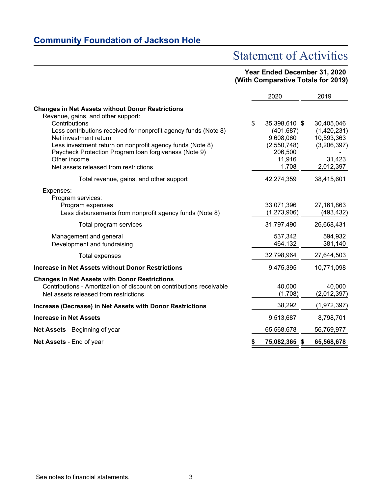# Statement of Activities

## **Year Ended December 31, 2020 (With Comparative Totals for 2019)**

|                                                                                                                                                                                                                                                                         | 2020                                                                 | 2019                                                            |
|-------------------------------------------------------------------------------------------------------------------------------------------------------------------------------------------------------------------------------------------------------------------------|----------------------------------------------------------------------|-----------------------------------------------------------------|
| <b>Changes in Net Assets without Donor Restrictions</b><br>Revenue, gains, and other support:<br>Contributions                                                                                                                                                          | \$<br>35,398,610 \$                                                  | 30,405,046                                                      |
| Less contributions received for nonprofit agency funds (Note 8)<br>Net investment return<br>Less investment return on nonprofit agency funds (Note 8)<br>Paycheck Protection Program Ioan forgiveness (Note 9)<br>Other income<br>Net assets released from restrictions | (401, 687)<br>9,608,060<br>(2,550,748)<br>206,500<br>11,916<br>1,708 | (1,420,231)<br>10,593,363<br>(3,206,397)<br>31,423<br>2,012,397 |
| Total revenue, gains, and other support                                                                                                                                                                                                                                 | 42,274,359                                                           | 38,415,601                                                      |
| Expenses:<br>Program services:<br>Program expenses<br>Less disbursements from nonprofit agency funds (Note 8)                                                                                                                                                           | 33,071,396<br>(1, 273, 906)                                          | 27, 161, 863<br>(493, 432)                                      |
| Total program services                                                                                                                                                                                                                                                  | 31,797,490                                                           | 26,668,431                                                      |
| Management and general<br>Development and fundraising                                                                                                                                                                                                                   | 537,342<br>464,132                                                   | 594,932<br>381,140                                              |
| <b>Total expenses</b>                                                                                                                                                                                                                                                   | 32,798,964                                                           | 27,644,503                                                      |
| <b>Increase in Net Assets without Donor Restrictions</b>                                                                                                                                                                                                                | 9,475,395                                                            | 10,771,098                                                      |
| <b>Changes in Net Assets with Donor Restrictions</b><br>Contributions - Amortization of discount on contributions receivable<br>Net assets released from restrictions                                                                                                   | 40,000<br>(1,708)                                                    | 40,000<br>(2,012,397)                                           |
| Increase (Decrease) in Net Assets with Donor Restrictions                                                                                                                                                                                                               | 38,292                                                               | (1,972,397)                                                     |
| <b>Increase in Net Assets</b>                                                                                                                                                                                                                                           | 9,513,687                                                            | 8,798,701                                                       |
| Net Assets - Beginning of year                                                                                                                                                                                                                                          | 65,568,678                                                           | 56,769,977                                                      |
| <b>Net Assets - End of year</b>                                                                                                                                                                                                                                         | \$<br>75,082,365 \$                                                  | 65,568,678                                                      |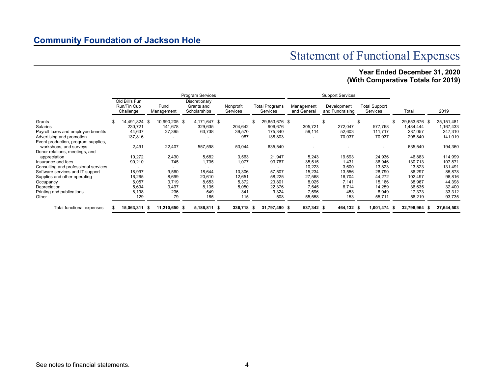# Statement of Functional Expenses

## **Year Ended December 31, 2020 (With Comparative Totals for 2019)**

|                                      |     |                                            |                    | <b>Program Services</b>                     |                       |                                   |               |  |            |                                              | <b>Support Services</b> |      |                                  |    |               |              |
|--------------------------------------|-----|--------------------------------------------|--------------------|---------------------------------------------|-----------------------|-----------------------------------|---------------|--|------------|----------------------------------------------|-------------------------|------|----------------------------------|----|---------------|--------------|
|                                      |     | Old Bill's Fun<br>Run/Tin Cup<br>Challenge | Fund<br>Management | Discretionary<br>Grants and<br>Scholarships | Nonprofit<br>Services | <b>Total Programs</b><br>Services |               |  |            | Management<br>Development<br>and Fundraising |                         |      | <b>Total Support</b><br>Services |    | Total         | 2019         |
| Grants                               | \$. | 14.491.824 \$                              | 10,990,205 \$      | 4,171,647 \$                                |                       |                                   | 29,653,676 \$ |  |            | - \$                                         |                         | - \$ | ٠                                | £. | 29,653,676 \$ | 25, 151, 481 |
| Salaries                             |     | 230,721                                    | 141,678            | 329,635                                     | 204,642               |                                   | 906,676       |  | 305,721    |                                              | 272,047                 |      | 577,768                          |    | 1,484,444     | 1,167,433    |
| Payroll taxes and employee benefits  |     | 44,637                                     | 27,395             | 63,738                                      | 39,570                |                                   | 175,340       |  | 59,114     |                                              | 52,603                  |      | 111,717                          |    | 287,057       | 247,310      |
| Advertising and promotion            |     | 137,816                                    |                    | ٠                                           | 987                   |                                   | 138,803       |  |            |                                              | 70,037                  |      | 70,037                           |    | 208,840       | 141,019      |
| Event production, program supplies,  |     |                                            |                    |                                             |                       |                                   |               |  |            |                                              |                         |      |                                  |    |               |              |
| workshops, and surveys               |     | 2,491                                      | 22,407             | 557,598                                     | 53,044                |                                   | 635,540       |  |            |                                              |                         |      |                                  |    | 635,540       | 194,360      |
| Donor relations, meetings, and       |     |                                            |                    |                                             |                       |                                   |               |  |            |                                              |                         |      |                                  |    |               |              |
| appreciation                         |     | 10,272                                     | 2,430              | 5,682                                       | 3,563                 |                                   | 21,947        |  | 5,243      |                                              | 19,693                  |      | 24,936                           |    | 46,883        | 114,999      |
| Insurance and fees                   |     | 90,210                                     | 745                | 1,735                                       | 1,077                 |                                   | 93,767        |  | 35,515     |                                              | 1,431                   |      | 36,946                           |    | 130,713       | 107,871      |
| Consulting and professional services |     |                                            |                    |                                             |                       |                                   |               |  | 10,223     |                                              | 3,600                   |      | 13,823                           |    | 13,823        | 131,491      |
| Software services and IT support     |     | 18,997                                     | 9,560              | 18,644                                      | 10,306                |                                   | 57,507        |  | 15,234     |                                              | 13,556                  |      | 28,790                           |    | 86,297        | 85,878       |
| Supplies and other operating         |     | 16,265                                     | 8,699              | 20,610                                      | 12,651                |                                   | 58,225        |  | 27,568     |                                              | 16,704                  |      | 44,272                           |    | 102,497       | 98,816       |
| Occupancy                            |     | 6,057                                      | 3,719              | 8,653                                       | 5,372                 |                                   | 23,801        |  | 8,025      |                                              | 7,141                   |      | 15,166                           |    | 38,967        | 44,398       |
| Depreciation                         |     | 5,694                                      | 3,497              | 8,135                                       | 5,050                 |                                   | 22,376        |  | 7,545      |                                              | 6,714                   |      | 14,259                           |    | 36,635        | 32,400       |
| Printing and publications            |     | 8,198                                      | 236                | 549                                         | 341                   |                                   | 9,324         |  | 7,596      |                                              | 453                     |      | 8,049                            |    | 17,373        | 33,312       |
| Other                                |     | 129                                        | 79                 | 185                                         | 115                   |                                   | 508           |  | 55,558     |                                              | 153                     |      | 55,711                           |    | 56,219        | 93,735       |
| Total functional expenses            |     | 15,063,311 \$                              | 11,210,650 \$      | 5,186,811 \$                                | 336,718 \$            |                                   | 31,797,490 \$ |  | 537,342 \$ |                                              | 464,132 \$              |      | 1,001,474 \$                     |    | 32,798,964    | 27,644,503   |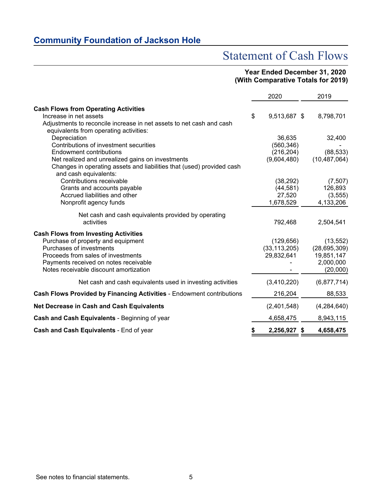# Statement of Cash Flows

### **Year Ended December 31, 2020 (With Comparative Totals for 2019)**

|                                                                                                                                                                                                                                                | 2020                                              | 2019                                                               |
|------------------------------------------------------------------------------------------------------------------------------------------------------------------------------------------------------------------------------------------------|---------------------------------------------------|--------------------------------------------------------------------|
| <b>Cash Flows from Operating Activities</b><br>Increase in net assets<br>Adjustments to reconcile increase in net assets to net cash and cash<br>equivalents from operating activities:                                                        | \$<br>9,513,687 \$                                | 8,798,701                                                          |
| Depreciation<br>Contributions of investment securities<br><b>Endowment contributions</b><br>Net realized and unrealized gains on investments<br>Changes in operating assets and liabilities that (used) provided cash<br>and cash equivalents: | 36,635<br>(560, 346)<br>(216, 204)<br>(9,604,480) | 32,400<br>(88, 533)<br>(10, 487, 064)                              |
| Contributions receivable<br>Grants and accounts payable<br>Accrued liabilities and other<br>Nonprofit agency funds                                                                                                                             | (38, 292)<br>(44, 581)<br>27,520<br>1,678,529     | (7, 507)<br>126,893<br>(3, 555)<br>4,133,206                       |
| Net cash and cash equivalents provided by operating<br>activities                                                                                                                                                                              | 792,468                                           | 2,504,541                                                          |
| <b>Cash Flows from Investing Activities</b><br>Purchase of property and equipment<br>Purchases of investments<br>Proceeds from sales of investments<br>Payments received on notes receivable<br>Notes receivable discount amortization         | (129, 656)<br>(33, 113, 205)<br>29,832,641        | (13, 552)<br>(28, 695, 309)<br>19,851,147<br>2,000,000<br>(20,000) |
| Net cash and cash equivalents used in investing activities                                                                                                                                                                                     | (3,410,220)                                       | (6,877,714)                                                        |
| Cash Flows Provided by Financing Activities - Endowment contributions                                                                                                                                                                          | 216,204                                           | 88,533                                                             |
| Net Decrease in Cash and Cash Equivalents                                                                                                                                                                                                      | (2,401,548)                                       | (4, 284, 640)                                                      |
| Cash and Cash Equivalents - Beginning of year                                                                                                                                                                                                  | 4,658,475                                         | 8,943,115                                                          |
| Cash and Cash Equivalents - End of year                                                                                                                                                                                                        | \$<br>2,256,927 \$                                | 4,658,475                                                          |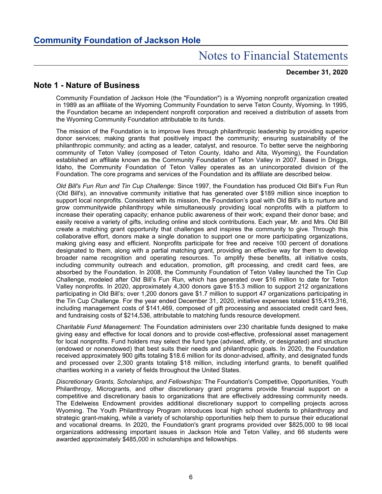#### **December 31, 2020**

## **Note 1 - Nature of Business**

Community Foundation of Jackson Hole (the "Foundation") is a Wyoming nonprofit organization created in 1989 as an affiliate of the Wyoming Community Foundation to serve Teton County, Wyoming. In 1995, the Foundation became an independent nonprofit corporation and received a distribution of assets from the Wyoming Community Foundation attributable to its funds.

The mission of the Foundation is to improve lives through philanthropic leadership by providing superior donor services; making grants that positively impact the community; ensuring sustainability of the philanthropic community; and acting as a leader, catalyst, and resource. To better serve the neighboring community of Teton Valley (composed of Teton County, Idaho and Alta, Wyoming), the Foundation established an affiliate known as the Community Foundation of Teton Valley in 2007. Based in Driggs, Idaho, the Community Foundation of Teton Valley operates as an unincorporated division of the Foundation. The core programs and services of the Foundation and its affiliate are described below.

*Old Bill's Fun Run and Tin Cup Challenge:* Since 1997, the Foundation has produced Old Bill's Fun Run (Old Bill's), an innovative community initiative that has generated over \$189 million since inception to support local nonprofits. Consistent with its mission, the Foundation's goal with Old Bill's is to nurture and grow communitywide philanthropy while simultaneously providing local nonprofits with a platform to increase their operating capacity; enhance public awareness of their work; expand their donor base; and easily receive a variety of gifts, including online and stock contributions. Each year, Mr. and Mrs. Old Bill create a matching grant opportunity that challenges and inspires the community to give. Through this collaborative effort, donors make a single donation to support one or more participating organizations, making giving easy and efficient. Nonprofits participate for free and receive 100 percent of donations designated to them, along with a partial matching grant, providing an effective way for them to develop broader name recognition and operating resources. To amplify these benefits, all initiative costs, including community outreach and education, promotion, gift processing, and credit card fees, are absorbed by the Foundation. In 2008, the Community Foundation of Teton Valley launched the Tin Cup Challenge, modeled after Old Bill's Fun Run, which has generated over \$16 million to date for Teton Valley nonprofits. In 2020, approximately 4,300 donors gave \$15.3 million to support 212 organizations participating in Old Bill's; over 1,200 donors gave \$1.7 million to support 47 organizations participating in the Tin Cup Challenge. For the year ended December 31, 2020, initiative expenses totaled \$15,419,316, including management costs of \$141,469, composed of gift processing and associated credit card fees, and fundraising costs of \$214,536, attributable to matching funds resource development.

*Charitable Fund Management:* The Foundation administers over 230 charitable funds designed to make giving easy and effective for local donors and to provide cost-effective, professional asset management for local nonprofits. Fund holders may select the fund type (advised, affinity, or designated) and structure (endowed or nonendowed) that best suits their needs and philanthropic goals. In 2020, the Foundation received approximately 900 gifts totaling \$18.6 million for its donor-advised, affinity, and designated funds and processed over 2,300 grants totaling \$18 million, including interfund grants, to benefit qualified charities working in a variety of fields throughout the United States.

*Discretionary Grants, Scholarships, and Fellowships:* The Foundation's Competitive, Opportunities, Youth Philanthropy, Microgrants, and other discretionary grant programs provide financial support on a competitive and discretionary basis to organizations that are effectively addressing community needs. The Edelweiss Endowment provides additional discretionary support to compelling projects across Wyoming. The Youth Philanthropy Program introduces local high school students to philanthropy and strategic grant-making, while a variety of scholarship opportunities help them to pursue their educational and vocational dreams. In 2020, the Foundation's grant programs provided over \$825,000 to 98 local organizations addressing important issues in Jackson Hole and Teton Valley, and 66 students were awarded approximately \$485,000 in scholarships and fellowships.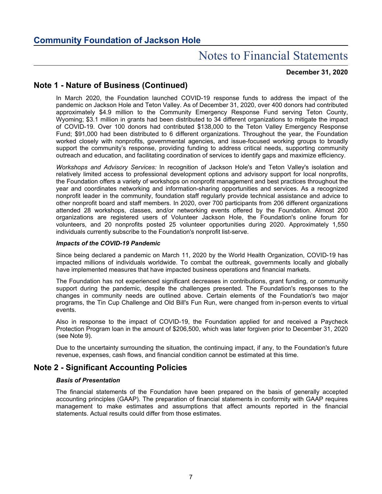#### **December 31, 2020**

## **Note 1 - Nature of Business (Continued)**

In March 2020, the Foundation launched COVID-19 response funds to address the impact of the pandemic on Jackson Hole and Teton Valley. As of December 31, 2020, over 400 donors had contributed approximately \$4.9 million to the Community Emergency Response Fund serving Teton County, Wyoming; \$3.1 million in grants had been distributed to 34 different organizations to mitigate the impact of COVID-19. Over 100 donors had contributed \$138,000 to the Teton Valley Emergency Response Fund; \$91,000 had been distributed to 6 different organizations. Throughout the year, the Foundation worked closely with nonprofits, governmental agencies, and issue-focused working groups to broadly support the community's response, providing funding to address critical needs, supporting community outreach and education, and facilitating coordination of services to identify gaps and maximize efficiency.

*Workshops and Advisory Services:* In recognition of Jackson Hole's and Teton Valley's isolation and relatively limited access to professional development options and advisory support for local nonprofits, the Foundation offers a variety of workshops on nonprofit management and best practices throughout the year and coordinates networking and information-sharing opportunities and services. As a recognized nonprofit leader in the community, foundation staff regularly provide technical assistance and advice to other nonprofit board and staff members. In 2020, over 700 participants from 206 different organizations attended 28 workshops, classes, and/or networking events offered by the Foundation. Almost 200 organizations are registered users of Volunteer Jackson Hole, the Foundation's online forum for volunteers, and 20 nonprofits posted 25 volunteer opportunities during 2020. Approximately 1,550 individuals currently subscribe to the Foundation's nonprofit list-serve.

#### *Impacts of the COVID-19 Pandemic*

Since being declared a pandemic on March 11, 2020 by the World Health Organization, COVID-19 has impacted millions of individuals worldwide. To combat the outbreak, governments locally and globally have implemented measures that have impacted business operations and financial markets.

The Foundation has not experienced significant decreases in contributions, grant funding, or community support during the pandemic, despite the challenges presented. The Foundation's responses to the changes in community needs are outlined above. Certain elements of the Foundation's two major programs, the Tin Cup Challenge and Old Bill's Fun Run, were changed from in-person events to virtual events.

Also in response to the impact of COVID-19, the Foundation applied for and received a Paycheck Protection Program loan in the amount of \$206,500, which was later forgiven prior to December 31, 2020 (see Note 9).

Due to the uncertainty surrounding the situation, the continuing impact, if any, to the Foundation's future revenue, expenses, cash flows, and financial condition cannot be estimated at this time.

## **Note 2 - Significant Accounting Policies**

#### *Basis of Presentation*

The financial statements of the Foundation have been prepared on the basis of generally accepted accounting principles (GAAP). The preparation of financial statements in conformity with GAAP requires management to make estimates and assumptions that affect amounts reported in the financial statements. Actual results could differ from those estimates.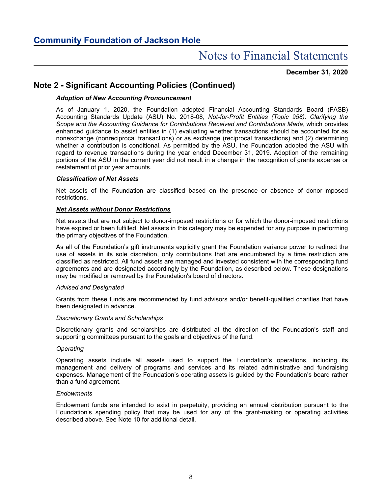#### **December 31, 2020**

## **Note 2 - Significant Accounting Policies (Continued)**

#### *Adoption of New Accounting Pronouncement*

As of January 1, 2020, the Foundation adopted Financial Accounting Standards Board (FASB) Accounting Standards Update (ASU) No. 2018-08, *Not-for-Profit Entities (Topic 958): Clarifying the Scope and the Accounting Guidance for Contributions Received and Contributions Made*, which provides enhanced guidance to assist entities in (1) evaluating whether transactions should be accounted for as nonexchange (nonreciprocal transactions) or as exchange (reciprocal transactions) and (2) determining whether a contribution is conditional. As permitted by the ASU, the Foundation adopted the ASU with regard to revenue transactions during the year ended December 31, 2019. Adoption of the remaining portions of the ASU in the current year did not result in a change in the recognition of grants expense or restatement of prior year amounts.

#### *Classification of Net Assets*

Net assets of the Foundation are classified based on the presence or absence of donor-imposed restrictions.

#### *Net Assets without Donor Restrictions*

Net assets that are not subject to donor-imposed restrictions or for which the donor-imposed restrictions have expired or been fulfilled. Net assets in this category may be expended for any purpose in performing the primary objectives of the Foundation.

As all of the Foundation's gift instruments explicitly grant the Foundation variance power to redirect the use of assets in its sole discretion, only contributions that are encumbered by a time restriction are classified as restricted. All fund assets are managed and invested consistent with the corresponding fund agreements and are designated accordingly by the Foundation, as described below. These designations may be modified or removed by the Foundation's board of directors.

#### *Advised and Designated*

Grants from these funds are recommended by fund advisors and/or benefit-qualified charities that have been designated in advance.

#### *Discretionary Grants and Scholarships*

Discretionary grants and scholarships are distributed at the direction of the Foundation's staff and supporting committees pursuant to the goals and objectives of the fund.

#### *Operating*

Operating assets include all assets used to support the Foundation's operations, including its management and delivery of programs and services and its related administrative and fundraising expenses. Management of the Foundation's operating assets is guided by the Foundation's board rather than a fund agreement.

#### *Endowments*

Endowment funds are intended to exist in perpetuity, providing an annual distribution pursuant to the Foundation's spending policy that may be used for any of the grant-making or operating activities described above. See Note 10 for additional detail.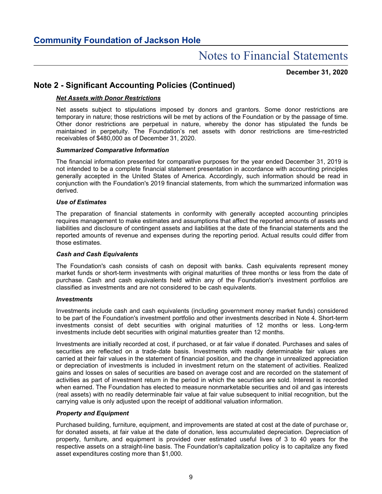#### **December 31, 2020**

## **Note 2 - Significant Accounting Policies (Continued)**

#### *Net Assets with Donor Restrictions*

Net assets subject to stipulations imposed by donors and grantors. Some donor restrictions are temporary in nature; those restrictions will be met by actions of the Foundation or by the passage of time. Other donor restrictions are perpetual in nature, whereby the donor has stipulated the funds be maintained in perpetuity. The Foundation's net assets with donor restrictions are time-restricted receivables of \$480,000 as of December 31, 2020.

#### *Summarized Comparative Information*

The financial information presented for comparative purposes for the year ended December 31, 2019 is not intended to be a complete financial statement presentation in accordance with accounting principles generally accepted in the United States of America. Accordingly, such information should be read in conjunction with the Foundation's 2019 financial statements, from which the summarized information was derived.

#### *Use of Estimates*

The preparation of financial statements in conformity with generally accepted accounting principles requires management to make estimates and assumptions that affect the reported amounts of assets and liabilities and disclosure of contingent assets and liabilities at the date of the financial statements and the reported amounts of revenue and expenses during the reporting period. Actual results could differ from those estimates.

#### *Cash and Cash Equivalents*

The Foundation's cash consists of cash on deposit with banks. Cash equivalents represent money market funds or short-term investments with original maturities of three months or less from the date of purchase. Cash and cash equivalents held within any of the Foundation's investment portfolios are classified as investments and are not considered to be cash equivalents.

#### *Investments*

Investments include cash and cash equivalents (including government money market funds) considered to be part of the Foundation's investment portfolio and other investments described in Note 4. Short-term investments consist of debt securities with original maturities of 12 months or less. Long-term investments include debt securities with original maturities greater than 12 months.

Investments are initially recorded at cost, if purchased, or at fair value if donated. Purchases and sales of securities are reflected on a trade-date basis. Investments with readily determinable fair values are carried at their fair values in the statement of financial position, and the change in unrealized appreciation or depreciation of investments is included in investment return on the statement of activities. Realized gains and losses on sales of securities are based on average cost and are recorded on the statement of activities as part of investment return in the period in which the securities are sold. Interest is recorded when earned. The Foundation has elected to measure nonmarketable securities and oil and gas interests (real assets) with no readily determinable fair value at fair value subsequent to initial recognition, but the carrying value is only adjusted upon the receipt of additional valuation information.

#### *Property and Equipment*

Purchased building, furniture, equipment, and improvements are stated at cost at the date of purchase or, for donated assets, at fair value at the date of donation, less accumulated depreciation. Depreciation of property, furniture, and equipment is provided over estimated useful lives of 3 to 40 years for the respective assets on a straight-line basis. The Foundation's capitalization policy is to capitalize any fixed asset expenditures costing more than \$1,000.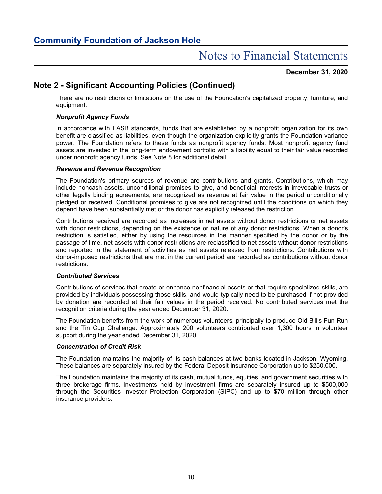#### **December 31, 2020**

## **Note 2 - Significant Accounting Policies (Continued)**

There are no restrictions or limitations on the use of the Foundation's capitalized property, furniture, and equipment.

#### *Nonprofit Agency Funds*

In accordance with FASB standards, funds that are established by a nonprofit organization for its own benefit are classified as liabilities, even though the organization explicitly grants the Foundation variance power. The Foundation refers to these funds as nonprofit agency funds. Most nonprofit agency fund assets are invested in the long-term endowment portfolio with a liability equal to their fair value recorded under nonprofit agency funds. See Note 8 for additional detail.

#### *Revenue and Revenue Recognition*

The Foundation's primary sources of revenue are contributions and grants. Contributions, which may include noncash assets, unconditional promises to give, and beneficial interests in irrevocable trusts or other legally binding agreements, are recognized as revenue at fair value in the period unconditionally pledged or received. Conditional promises to give are not recognized until the conditions on which they depend have been substantially met or the donor has explicitly released the restriction.

Contributions received are recorded as increases in net assets without donor restrictions or net assets with donor restrictions, depending on the existence or nature of any donor restrictions. When a donor's restriction is satisfied, either by using the resources in the manner specified by the donor or by the passage of time, net assets with donor restrictions are reclassified to net assets without donor restrictions and reported in the statement of activities as net assets released from restrictions. Contributions with donor-imposed restrictions that are met in the current period are recorded as contributions without donor restrictions.

#### *Contributed Services*

Contributions of services that create or enhance nonfinancial assets or that require specialized skills, are provided by individuals possessing those skills, and would typically need to be purchased if not provided by donation are recorded at their fair values in the period received. No contributed services met the recognition criteria during the year ended December 31, 2020.

The Foundation benefits from the work of numerous volunteers, principally to produce Old Bill's Fun Run and the Tin Cup Challenge. Approximately 200 volunteers contributed over 1,300 hours in volunteer support during the year ended December 31, 2020.

#### *Concentration of Credit Risk*

The Foundation maintains the majority of its cash balances at two banks located in Jackson, Wyoming. These balances are separately insured by the Federal Deposit Insurance Corporation up to \$250,000.

The Foundation maintains the majority of its cash, mutual funds, equities, and government securities with three brokerage firms. Investments held by investment firms are separately insured up to \$500,000 through the Securities Investor Protection Corporation (SIPC) and up to \$70 million through other insurance providers.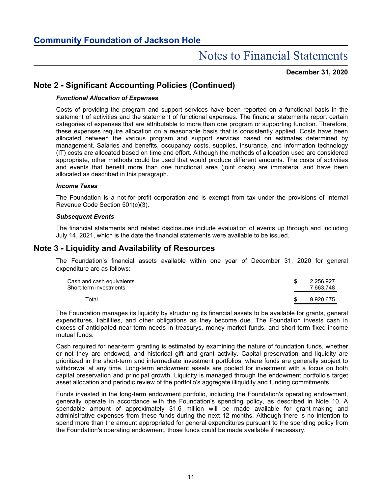#### **December 31, 2020**

## **Note 2 - Significant Accounting Policies (Continued)**

#### *Functional Allocation of Expenses*

Costs of providing the program and support services have been reported on a functional basis in the statement of activities and the statement of functional expenses. The financial statements report certain categories of expenses that are attributable to more than one program or supporting function. Therefore, these expenses require allocation on a reasonable basis that is consistently applied. Costs have been allocated between the various program and support services based on estimates determined by management. Salaries and benefits, occupancy costs, supplies, insurance, and information technology (IT) costs are allocated based on time and effort. Although the methods of allocation used are considered appropriate, other methods could be used that would produce different amounts. The costs of activities and events that benefit more than one functional area (joint costs) are immaterial and have been allocated as described in this paragraph.

#### *Income Taxes*

The Foundation is a not-for-profit corporation and is exempt from tax under the provisions of Internal Revenue Code Section 501(c)(3).

#### *Subsequent Events*

The financial statements and related disclosures include evaluation of events up through and including July 14, 2021, which is the date the financial statements were available to be issued.

### **Note 3 - Liquidity and Availability of Resources**

The Foundation's financial assets available within one year of December 31, 2020 for general expenditure are as follows:

| Cash and cash equivalents<br>Short-term investments |     | 2.256.927<br>7.663.748 |
|-----------------------------------------------------|-----|------------------------|
| Total                                               | -SG | 9.920.675              |

The Foundation manages its liquidity by structuring its financial assets to be available for grants, general expenditures, liabilities, and other obligations as they become due. The Foundation invests cash in excess of anticipated near-term needs in treasurys, money market funds, and short-term fixed-income mutual funds.

Cash required for near-term granting is estimated by examining the nature of foundation funds, whether or not they are endowed, and historical gift and grant activity. Capital preservation and liquidity are prioritized in the short-term and intermediate investment portfolios, where funds are generally subject to withdrawal at any time. Long-term endowment assets are pooled for investment with a focus on both capital preservation and principal growth. Liquidity is managed through the endowment portfolio's target asset allocation and periodic review of the portfolio's aggregate illiquidity and funding commitments.

Funds invested in the long-term endowment portfolio, including the Foundation's operating endowment, generally operate in accordance with the Foundation's spending policy, as described in Note 10. A spendable amount of approximately \$1.6 million will be made available for grant-making and administrative expenses from these funds during the next 12 months. Although there is no intention to spend more than the amount appropriated for general expenditures pursuant to the spending policy from the Foundation's operating endowment, those funds could be made available if necessary.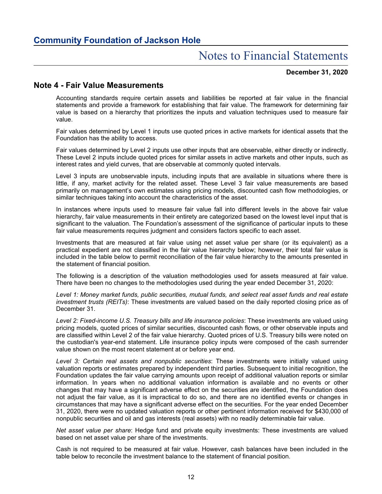#### **December 31, 2020**

### **Note 4 - Fair Value Measurements**

Accounting standards require certain assets and liabilities be reported at fair value in the financial statements and provide a framework for establishing that fair value. The framework for determining fair value is based on a hierarchy that prioritizes the inputs and valuation techniques used to measure fair value.

Fair values determined by Level 1 inputs use quoted prices in active markets for identical assets that the Foundation has the ability to access.

Fair values determined by Level 2 inputs use other inputs that are observable, either directly or indirectly. These Level 2 inputs include quoted prices for similar assets in active markets and other inputs, such as interest rates and yield curves, that are observable at commonly quoted intervals.

Level 3 inputs are unobservable inputs, including inputs that are available in situations where there is little, if any, market activity for the related asset. These Level 3 fair value measurements are based primarily on management's own estimates using pricing models, discounted cash flow methodologies, or similar techniques taking into account the characteristics of the asset.

In instances where inputs used to measure fair value fall into different levels in the above fair value hierarchy, fair value measurements in their entirety are categorized based on the lowest level input that is significant to the valuation. The Foundation's assessment of the significance of particular inputs to these fair value measurements requires judgment and considers factors specific to each asset.

Investments that are measured at fair value using net asset value per share (or its equivalent) as a practical expedient are not classified in the fair value hierarchy below; however, their total fair value is included in the table below to permit reconciliation of the fair value hierarchy to the amounts presented in the statement of financial position.

The following is a description of the valuation methodologies used for assets measured at fair value. There have been no changes to the methodologies used during the year ended December 31, 2020:

*Level 1: Money market funds, public securities, mutual funds, and select real asset funds and real estate investment trusts (REITs)*: These investments are valued based on the daily reported closing price as of December 31.

*Level 2: Fixed-income U.S. Treasury bills and life insurance policies*: These investments are valued using pricing models, quoted prices of similar securities, discounted cash flows, or other observable inputs and are classified within Level 2 of the fair value hierarchy. Quoted prices of U.S. Treasury bills were noted on the custodian's year-end statement. Life insurance policy inputs were composed of the cash surrender value shown on the most recent statement at or before year end.

*Level 3: Certain real assets and nonpublic securities*: These investments were initially valued using valuation reports or estimates prepared by independent third parties. Subsequent to initial recognition, the Foundation updates the fair value carrying amounts upon receipt of additional valuation reports or similar information. In years when no additional valuation information is available and no events or other changes that may have a significant adverse effect on the securities are identified, the Foundation does not adjust the fair value, as it is impractical to do so, and there are no identified events or changes in circumstances that may have a significant adverse effect on the securities. For the year ended December 31, 2020, there were no updated valuation reports or other pertinent information received for \$430,000 of nonpublic securities and oil and gas interests (real assets) with no readily determinable fair value.

*Net asset value per share*: Hedge fund and private equity investments: These investments are valued based on net asset value per share of the investments.

Cash is not required to be measured at fair value. However, cash balances have been included in the table below to reconcile the investment balance to the statement of financial position.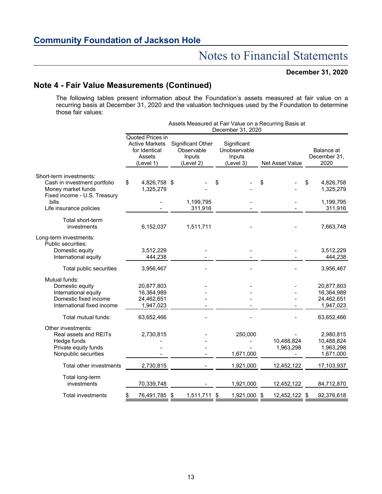#### **December 31, 2020**

## **Note 4 - Fair Value Measurements (Continued)**

The following tables present information about the Foundation's assets measured at fair value on a recurring basis at December 31, 2020 and the valuation techniques used by the Foundation to determine those fair values:

|                                                                                                                 |                                                                                   |                                                        | December 31, 2020                                  | Assets Measured at Fair Value on a Recurring Basis at |                                                     |
|-----------------------------------------------------------------------------------------------------------------|-----------------------------------------------------------------------------------|--------------------------------------------------------|----------------------------------------------------|-------------------------------------------------------|-----------------------------------------------------|
|                                                                                                                 | Quoted Prices in<br><b>Active Markets</b><br>for Identical<br>Assets<br>(Level 1) | Significant Other<br>Observable<br>Inputs<br>(Level 2) | Significant<br>Unobservable<br>Inputs<br>(Level 3) | <b>Net Asset Value</b>                                | Balance at<br>December 31,<br>2020                  |
| Short-term investments:<br>Cash in investment portfolio<br>Money market funds<br>Fixed income - U.S. Treasury   | \$<br>4,826,758 \$<br>1,325,279                                                   |                                                        | \$                                                 | \$                                                    | \$<br>4,826,758<br>1,325,279                        |
| bills<br>Life insurance policies                                                                                |                                                                                   | 1,199,795<br>311,916                                   |                                                    |                                                       | 1,199,795<br>311,916                                |
| Total short-term<br>investments                                                                                 | 6,152,037                                                                         | 1,511,711                                              |                                                    |                                                       | 7,663,748                                           |
| Long-term investments:<br>Public securities:<br>Domestic equity<br>International equity                         | 3,512,229<br>444,238                                                              |                                                        |                                                    |                                                       | 3,512,229<br>444,238                                |
| Total public securities                                                                                         | 3,956,467                                                                         |                                                        |                                                    |                                                       | 3,956,467                                           |
| Mutual funds:<br>Domestic equity<br>International equity<br>Domestic fixed income<br>International fixed income | 20,877,803<br>16,364,989<br>24,462,651<br>1,947,023                               |                                                        |                                                    |                                                       | 20,877,803<br>16,364,989<br>24,462,651<br>1,947,023 |
| Total mutual funds:                                                                                             | 63,652,466                                                                        |                                                        |                                                    |                                                       | 63,652,466                                          |
| Other investments:<br>Real assets and REITs<br>Hedge funds<br>Private equity funds<br>Nonpublic securities      | 2,730,815                                                                         |                                                        | 250,000<br>1,671,000                               | 10,488,824<br>1,963,298                               | 2,980,815<br>10,488,824<br>1,963,298<br>1,671,000   |
| Total other investments                                                                                         | 2,730,815                                                                         |                                                        | 1,921,000                                          | 12,452,122                                            | 17,103,937                                          |
| Total long-term<br>investments                                                                                  | 70,339,748                                                                        |                                                        | 1,921,000                                          | 12,452,122                                            | 84,712,870                                          |
| <b>Total investments</b>                                                                                        | 76,491,785 \$<br>\$                                                               | 1,511,711                                              | 1,921,000 \$<br>\$                                 | 12,452,122                                            | 92,376,618<br>\$                                    |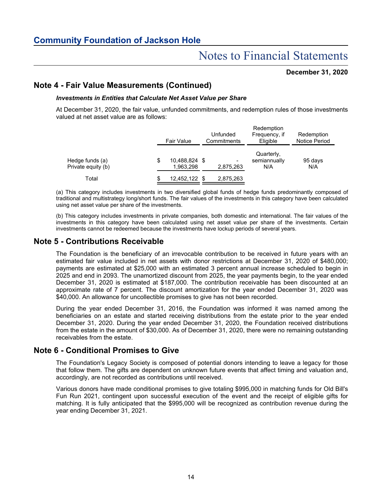#### **December 31, 2020**

## **Note 4 - Fair Value Measurements (Continued)**

#### *Investments in Entities that Calculate Net Asset Value per Share*

At December 31, 2020, the fair value, unfunded commitments, and redemption rules of those investments valued at net asset value are as follows:

|                                       | Fair Value                       | Unfunded<br>Commitments     | Redemption<br>Frequency, if<br>Eligible | Redemption<br>Notice Period |  |  |  |
|---------------------------------------|----------------------------------|-----------------------------|-----------------------------------------|-----------------------------|--|--|--|
| Hedge funds (a)<br>Private equity (b) | \$<br>10,488,824 \$<br>1.963.298 | $\blacksquare$<br>2,875,263 | Quarterly,<br>semiannually<br>N/A       | 95 days<br>N/A              |  |  |  |
| Total                                 | 12,452,122 \$                    | 2,875,263                   |                                         |                             |  |  |  |

(a) This category includes investments in two diversified global funds of hedge funds predominantly composed of traditional and multistrategy long/short funds. The fair values of the investments in this category have been calculated using net asset value per share of the investments.

(b) This category includes investments in private companies, both domestic and international. The fair values of the investments in this category have been calculated using net asset value per share of the investments. Certain investments cannot be redeemed because the investments have lockup periods of several years.

## **Note 5 - Contributions Receivable**

The Foundation is the beneficiary of an irrevocable contribution to be received in future years with an estimated fair value included in net assets with donor restrictions at December 31, 2020 of \$480,000; payments are estimated at \$25,000 with an estimated 3 percent annual increase scheduled to begin in 2025 and end in 2093. The unamortized discount from 2025, the year payments begin, to the year ended December 31, 2020 is estimated at \$187,000. The contribution receivable has been discounted at an approximate rate of 7 percent. The discount amortization for the year ended December 31, 2020 was \$40,000. An allowance for uncollectible promises to give has not been recorded.

During the year ended December 31, 2016, the Foundation was informed it was named among the beneficiaries on an estate and started receiving distributions from the estate prior to the year ended December 31, 2020. During the year ended December 31, 2020, the Foundation received distributions from the estate in the amount of \$30,000. As of December 31, 2020, there were no remaining outstanding receivables from the estate.

## **Note 6 - Conditional Promises to Give**

The Foundation's Legacy Society is composed of potential donors intending to leave a legacy for those that follow them. The gifts are dependent on unknown future events that affect timing and valuation and, accordingly, are not recorded as contributions until received.

Various donors have made conditional promises to give totaling \$995,000 in matching funds for Old Bill's Fun Run 2021, contingent upon successful execution of the event and the receipt of eligible gifts for matching. It is fully anticipated that the \$995,000 will be recognized as contribution revenue during the year ending December 31, 2021.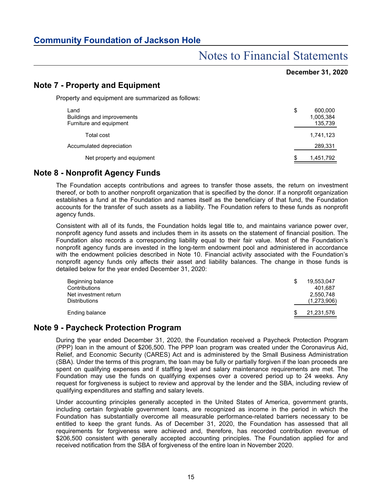## Notes to Financial Statements

### **December 31, 2020**

## **Note 7 - Property and Equipment**

Property and equipment are summarized as follows:

| Land<br>Buildings and improvements<br>Furniture and equipment | \$ | 600,000<br>1,005,384<br>135,739 |
|---------------------------------------------------------------|----|---------------------------------|
| Total cost                                                    |    | 1,741,123                       |
| Accumulated depreciation                                      |    | 289,331                         |
| Net property and equipment                                    | S  | 1,451,792                       |

### **Note 8 - Nonprofit Agency Funds**

The Foundation accepts contributions and agrees to transfer those assets, the return on investment thereof, or both to another nonprofit organization that is specified by the donor. If a nonprofit organization establishes a fund at the Foundation and names itself as the beneficiary of that fund, the Foundation accounts for the transfer of such assets as a liability. The Foundation refers to these funds as nonprofit agency funds.

Consistent with all of its funds, the Foundation holds legal title to, and maintains variance power over, nonprofit agency fund assets and includes them in its assets on the statement of financial position. The Foundation also records a corresponding liability equal to their fair value. Most of the Foundation's nonprofit agency funds are invested in the long-term endowment pool and administered in accordance with the endowment policies described in Note 10. Financial activity associated with the Foundation's nonprofit agency funds only affects their asset and liability balances. The change in those funds is detailed below for the year ended December 31, 2020:

| Beginning balance<br>Contributions<br>Net investment return<br><b>Distributions</b> | 19.553.047<br>401.687<br>2.550.748<br>(1,273,906) |
|-------------------------------------------------------------------------------------|---------------------------------------------------|
| Ending balance                                                                      | 21,231,576                                        |

### **Note 9 - Paycheck Protection Program**

During the year ended December 31, 2020, the Foundation received a Paycheck Protection Program (PPP) loan in the amount of \$206,500. The PPP loan program was created under the Coronavirus Aid, Relief, and Economic Security (CARES) Act and is administered by the Small Business Administration (SBA). Under the terms of this program, the loan may be fully or partially forgiven if the loan proceeds are spent on qualifying expenses and if staffing level and salary maintenance requirements are met. The Foundation may use the funds on qualifying expenses over a covered period up to 24 weeks. Any request for forgiveness is subject to review and approval by the lender and the SBA, including review of qualifying expenditures and staffing and salary levels.

Under accounting principles generally accepted in the United States of America, government grants, including certain forgivable government loans, are recognized as income in the period in which the Foundation has substantially overcome all measurable performance-related barriers necessary to be entitled to keep the grant funds. As of December 31, 2020, the Foundation has assessed that all requirements for forgiveness were achieved and, therefore, has recorded contribution revenue of \$206,500 consistent with generally accepted accounting principles. The Foundation applied for and received notification from the SBA of forgiveness of the entire loan in November 2020.